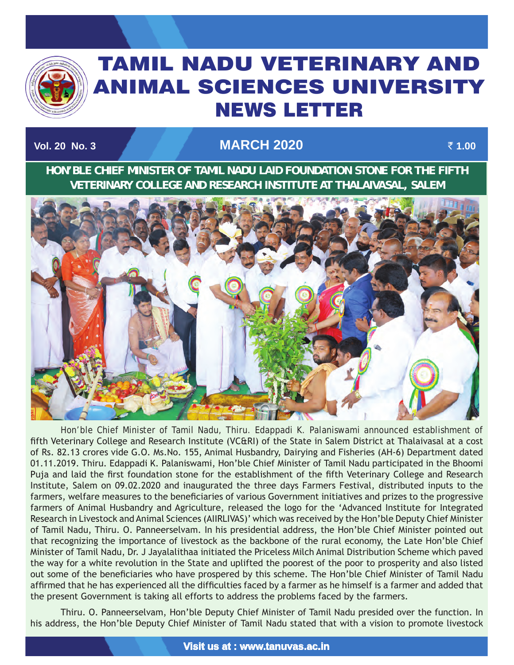

# TAMIL NADU VETERINARY AND ANIMAL SCIENCES UNIVERSITY News Letter

# **Vol. 20 No. 3 March 2020** ` **1.00**

TAMIL NADU VETERINARY AND ANIMAL SCIENCES UNIVERSITY OF A SECOND AND ANIMAL SCIENCES UNIVERSITY OF A SECOND AN

**HON'BLE CHIEF MINISTER OF TAMIL NADU LAID FOUNDATION STONE FOR THE FIFTH VETERINARY COLLEGE AND RESEARCH INSTITUTE AT THALAIVASAL, SALEM**



Hon'ble Chief Minister of Tamil Nadu, Thiru. Edappadi K. Palaniswami announced establishment of fifth Veterinary College and Research Institute (VC&RI) of the State in Salem District at Thalaivasal at a cost of Rs. 82.13 crores vide G.O. Ms.No. 155, Animal Husbandry, Dairying and Fisheries (AH-6) Department dated 01.11.2019. Thiru. Edappadi K. Palaniswami, Hon'ble Chief Minister of Tamil Nadu participated in the Bhoomi Puja and laid the first foundation stone for the establishment of the fifth Veterinary College and Research Institute, Salem on 09.02.2020 and inaugurated the three days Farmers Festival, distributed inputs to the farmers, welfare measures to the beneficiaries of various Government initiatives and prizes to the progressive farmers of Animal Husbandry and Agriculture, released the logo for the 'Advanced Institute for Integrated Research in Livestock and Animal Sciences (AIIRLIVAS)' which was received by the Hon'ble Deputy Chief Minister of Tamil Nadu, Thiru. O. Panneerselvam. In his presidential address, the Hon'ble Chief Minister pointed out that recognizing the importance of livestock as the backbone of the rural economy, the Late Hon'ble Chief Minister of Tamil Nadu, Dr. J Jayalalithaa initiated the Priceless Milch Animal Distribution Scheme which paved the way for a white revolution in the State and uplifted the poorest of the poor to prosperity and also listed out some of the beneficiaries who have prospered by this scheme. The Hon'ble Chief Minister of Tamil Nadu affirmed that he has experienced all the difficulties faced by a farmer as he himself is a farmer and added that the present Government is taking all efforts to address the problems faced by the farmers.

Thiru. O. Panneerselvam, Hon'ble Deputy Chief Minister of Tamil Nadu presided over the function. In his address, the Hon'ble Deputy Chief Minister of Tamil Nadu stated that with a vision to promote livestock

**Visit us at : www.tanuvas.ac.in**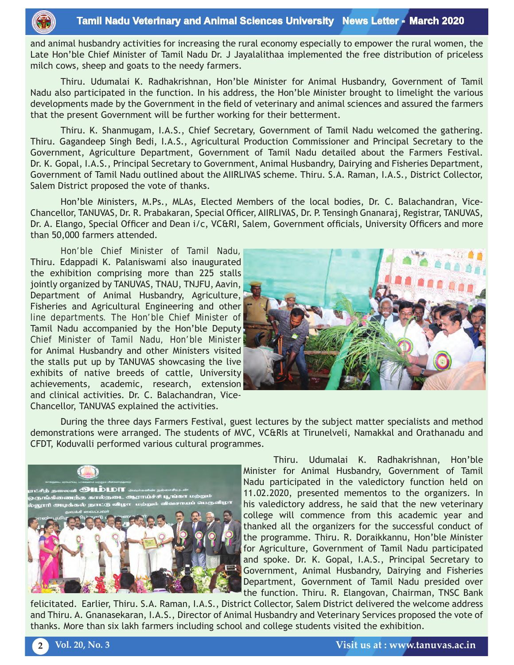and animal husbandry activities for increasing the rural economy especially to empower the rural women, the Late Hon'ble Chief Minister of Tamil Nadu Dr. J Jayalalithaa implemented the free distribution of priceless milch cows, sheep and goats to the needy farmers.

Thiru. Udumalai K. Radhakrishnan, Hon'ble Minister for Animal Husbandry, Government of Tamil Nadu also participated in the function. In his address, the Hon'ble Minister brought to limelight the various developments made by the Government in the field of veterinary and animal sciences and assured the farmers that the present Government will be further working for their betterment.

Thiru. K. Shanmugam, I.A.S., Chief Secretary, Government of Tamil Nadu welcomed the gathering. Thiru. Gagandeep Singh Bedi, I.A.S., Agricultural Production Commissioner and Principal Secretary to the Government, Agriculture Department, Government of Tamil Nadu detailed about the Farmers Festival. Dr. K. Gopal, I.A.S., Principal Secretary to Government, Animal Husbandry, Dairying and Fisheries Department, Government of Tamil Nadu outlined about the AIIRLIVAS scheme. Thiru. S.A. Raman, I.A.S., District Collector, Salem District proposed the vote of thanks.

Hon'ble Ministers, M.Ps., MLAs, Elected Members of the local bodies, Dr. C. Balachandran, Vice-Chancellor, TANUVAS, Dr. R. Prabakaran, Special Officer, AIIRLIVAS, Dr. P. Tensingh Gnanaraj, Registrar, TANUVAS, Dr. A. Elango, Special Officer and Dean i/c, VC&RI, Salem, Government officials, University Officers and more than 50,000 farmers attended.

Hon'ble Chief Minister of Tamil Nadu, Thiru. Edappadi K. Palaniswami also inaugurated the exhibition comprising more than 225 stalls jointly organized by TANUVAS, TNAU, TNJFU, Aavin, Department of Animal Husbandry, Agriculture, Fisheries and Agricultural Engineering and other line departments. The Hon'ble Chief Minister of Tamil Nadu accompanied by the Hon'ble Deputy Chief Minister of Tamil Nadu, Hon'ble Minister for Animal Husbandry and other Ministers visited the stalls put up by TANUVAS showcasing the live exhibits of native breeds of cattle, University achievements, academic, research, extension and clinical activities. Dr. C. Balachandran, Vice-Chancellor, TANUVAS explained the activities.



During the three days Farmers Festival, guest lectures by the subject matter specialists and method demonstrations were arranged. The students of MVC, VC&RIs at Tirunelveli, Namakkal and Orathanadu and CFDT, Koduvalli performed various cultural programmes.



Thiru. Udumalai K. Radhakrishnan, Hon'ble Minister for Animal Husbandry, Government of Tamil Nadu participated in the valedictory function held on 11.02.2020, presented mementos to the organizers. In his valedictory address, he said that the new veterinary college will commence from this academic year and thanked all the organizers for the successful conduct of the programme. Thiru. R. Doraikkannu, Hon'ble Minister for Agriculture, Government of Tamil Nadu participated and spoke. Dr. K. Gopal, I.A.S., Principal Secretary to Government, Animal Husbandry, Dairying and Fisheries Department, Government of Tamil Nadu presided over the function. Thiru. R. Elangovan, Chairman, TNSC Bank

felicitated. Earlier, Thiru. S.A. Raman, I.A.S., District Collector, Salem District delivered the welcome address and Thiru. A. Gnanasekaran, I.A.S., Director of Animal Husbandry and Veterinary Services proposed the vote of thanks. More than six lakh farmers including school and college students visited the exhibition.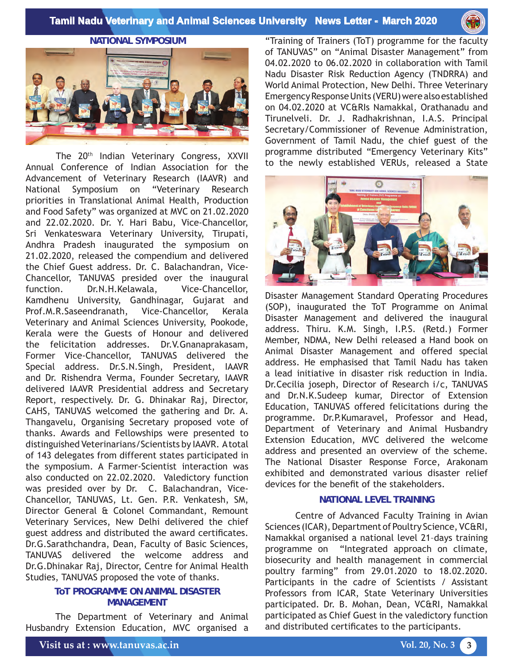

**NATIONAL SYMPOSIUM** 



The 20<sup>th</sup> Indian Veterinary Congress, XXVII Annual Conference of Indian Association for the Advancement of Veterinary Research (IAAVR) and National Symposium on "Veterinary Research priorities in Translational Animal Health, Production and Food Safety" was organized at MVC on 21.02.2020 and 22.02.2020. Dr. Y. Hari Babu, Vice-Chancellor, Sri Venkateswara Veterinary University, Tirupati, Andhra Pradesh inaugurated the symposium on 21.02.2020, released the compendium and delivered the Chief Guest address. Dr. C. Balachandran, Vice-Chancellor, TANUVAS presided over the inaugural function. Dr.N.H.Kelawala, Vice-Chancellor, Kamdhenu University, Gandhinagar, Gujarat and Prof.M.R.Saseendranath, Vice-Chancellor, Kerala Veterinary and Animal Sciences University, Pookode, Kerala were the Guests of Honour and delivered the felicitation addresses. Dr.V.Gnanaprakasam, Former Vice-Chancellor, TANUVAS delivered the Special address. Dr.S.N.Singh, President, IAAVR and Dr. Rishendra Verma, Founder Secretary, IAAVR delivered IAAVR Presidential address and Secretary Report, respectively. Dr. G. Dhinakar Raj, Director, CAHS, TANUVAS welcomed the gathering and Dr. A. Thangavelu, Organising Secretary proposed vote of thanks. Awards and Fellowships were presented to distinguished Veterinarians/Scientists by IAAVR. A total of 143 delegates from different states participated in the symposium. A Farmer-Scientist interaction was also conducted on 22.02.2020. Valedictory function was presided over by Dr. C. Balachandran, Vice-Chancellor, TANUVAS, Lt. Gen. P.R. Venkatesh, SM, Director General & Colonel Commandant, Remount Veterinary Services, New Delhi delivered the chief guest address and distributed the award certificates. Dr.G.Sarathchandra, Dean, Faculty of Basic Sciences, TANUVAS delivered the welcome address and Dr.G.Dhinakar Raj, Director, Centre for Animal Health Studies, TANUVAS proposed the vote of thanks.

#### **ToT PROGRAMME ON ANIMAL DISASTER MANAGEMENT**

The Department of Veterinary and Animal Husbandry Extension Education, MVC organised a "Training of Trainers (ToT) programme for the faculty of TANUVAS" on "Animal Disaster Management" from 04.02.2020 to 06.02.2020 in collaboration with Tamil Nadu Disaster Risk Reduction Agency (TNDRRA) and World Animal Protection, New Delhi. Three Veterinary Emergency Response Units (VERU) were also established on 04.02.2020 at VC&RIs Namakkal, Orathanadu and Tirunelveli. Dr. J. Radhakrishnan, I.A.S. Principal Secretary/Commissioner of Revenue Administration, Government of Tamil Nadu, the chief guest of the programme distributed "Emergency Veterinary Kits" to the newly established VERUs, released a State



Disaster Management Standard Operating Procedures (SOP), inaugurated the ToT Programme on Animal Disaster Management and delivered the inaugural address. Thiru. K.M. Singh, I.P.S. (Retd.) Former Member, NDMA, New Delhi released a Hand book on Animal Disaster Management and offered special address. He emphasised that Tamil Nadu has taken a lead initiative in disaster risk reduction in India. Dr.Cecilia joseph, Director of Research i/c, TANUVAS and Dr.N.K.Sudeep kumar, Director of Extension Education, TANUVAS offered felicitations during the programme. Dr.P.Kumaravel, Professor and Head, Department of Veterinary and Animal Husbandry Extension Education, MVC delivered the welcome address and presented an overview of the scheme. The National Disaster Response Force, Arakonam exhibited and demonstrated various disaster relief devices for the benefit of the stakeholders.

#### **NATIONAL LEVEL TRAINING**

Centre of Advanced Faculty Training in Avian Sciences (ICAR), Department of Poultry Science, VC&RI, Namakkal organised a national level 21–days training programme on "Integrated approach on climate, biosecurity and health management in commercial poultry farming" from 29.01.2020 to 18.02.2020. Participants in the cadre of Scientists / Assistant Professors from ICAR, State Veterinary Universities participated. Dr. B. Mohan, Dean, VC&RI, Namakkal participated as Chief Guest in the valedictory function and distributed certificates to the participants.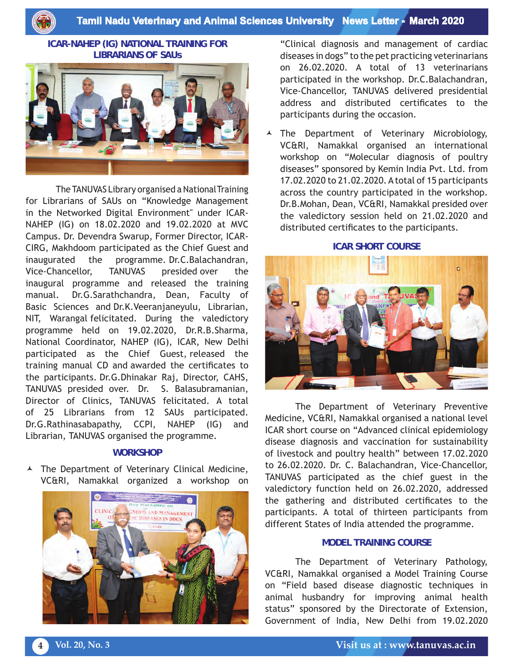**Tamil Nadu Veterinary and Animal Sciences University News Letter - March 2020**

#### **ICAR-NAHEP (IG) NATIONAL TRAINING FOR LIBRARIANS OF SAUs**



The TANUVAS Library organised a National Training for Librarians of SAUs on "Knowledge Management in the Networked Digital Environment" under ICAR-NAHEP (IG) on 18.02.2020 and 19.02.2020 at MVC Campus. Dr. Devendra Swarup, Former Director, ICAR-CIRG, Makhdoom participated as the Chief Guest and inaugurated the programme. Dr.C.Balachandran, Vice-Chancellor, TANUVAS presided over the inaugural programme and released the training manual. Dr.G.Sarathchandra, Dean, Faculty of Basic Sciences and Dr.K.Veeranjaneyulu, Librarian, NIT, Warangal felicitated. During the valedictory programme held on 19.02.2020, Dr.R.B.Sharma, National Coordinator, NAHEP (IG), ICAR, New Delhi participated as the Chief Guest, released the training manual CD and awarded the certificates to the participants. Dr.G.Dhinakar Raj, Director, CAHS, TANUVAS presided over. Dr. S. Balasubramanian, Director of Clinics, TANUVAS felicitated. A total of 25 Librarians from 12 SAUs participated. Dr.G.Rathinasabapathy, CCPI, NAHEP (IG) and Librarian, TANUVAS organised the programme.

#### **WORKSHOP**

 $\lambda$  The Department of Veterinary Clinical Medicine, VC&RI, Namakkal organized a workshop on



"Clinical diagnosis and management of cardiac diseases in dogs" to the pet practicing veterinarians on 26.02.2020. A total of 13 veterinarians participated in the workshop. Dr.C.Balachandran, Vice-Chancellor, TANUVAS delivered presidential address and distributed certificates to the participants during the occasion.

 The Department of Veterinary Microbiology, VC&RI, Namakkal organised an international workshop on "Molecular diagnosis of poultry diseases" sponsored by Kemin India Pvt. Ltd. from 17.02.2020 to 21.02.2020. A total of 15 participants across the country participated in the workshop. Dr.B.Mohan, Dean, VC&RI, Namakkal presided over the valedictory session held on 21.02.2020 and distributed certificates to the participants.

**ICAR SHORT COURSE**



The Department of Veterinary Preventive Medicine, VC&RI, Namakkal organised a national level ICAR short course on "Advanced clinical epidemiology disease diagnosis and vaccination for sustainability of livestock and poultry health" between 17.02.2020 to 26.02.2020. Dr. C. Balachandran, Vice-Chancellor, TANUVAS participated as the chief guest in the valedictory function held on 26.02.2020, addressed the gathering and distributed certificates to the participants. A total of thirteen participants from different States of India attended the programme.

#### **MODEL TRAINING COURSE**

The Department of Veterinary Pathology, VC&RI, Namakkal organised a Model Training Course on "Field based disease diagnostic techniques in animal husbandry for improving animal health status" sponsored by the Directorate of Extension, Government of India, New Delhi from 19.02.2020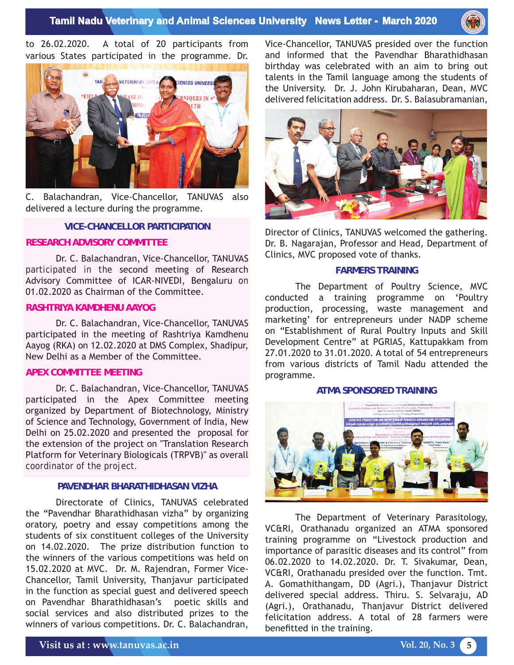

to 26.02.2020. A total of 20 participants from various States participated in the programme. Dr.



C. Balachandran, Vice-Chancellor, TANUVAS also delivered a lecture during the programme.

#### **VICE-CHANCELLOR PARTICIPATION**

#### **RESEARCH ADVISORY COMMITTEE**

Dr. C. Balachandran, Vice-Chancellor, TANUVAS participated in the second meeting of Research Advisory Committee of ICAR-NIVEDI, Bengaluru on 01.02.2020 as Chairman of the Committee.

### **RASHTRIYA KAMDHENU AAYOG**

Dr. C. Balachandran, Vice-Chancellor, TANUVAS participated in the meeting of Rashtriya Kamdhenu Aayog (RKA) on 12.02.2020 at DMS Complex, Shadipur, New Delhi as a Member of the Committee.

#### **APEX COMMITTEE MEETING**

Dr. C. Balachandran, Vice-Chancellor, TANUVAS participated in the Apex Committee meeting organized by Department of Biotechnology, Ministry of Science and Technology, Government of India, New Delhi on 25.02.2020 and presented the proposal for the extension of the project on "Translation Research Platform for Veterinary Biologicals (TRPVB)" as overall coordinator of the project.

## **PAVENDHAR BHARATHIDHASAN VIZHA**

Directorate of Clinics, TANUVAS celebrated the "Pavendhar Bharathidhasan vizha" by organizing oratory, poetry and essay competitions among the students of six constituent colleges of the University on 14.02.2020. The prize distribution function to the winners of the various competitions was held on 15.02.2020 at MVC. Dr. M. Rajendran, Former Vice-Chancellor, Tamil University, Thanjavur participated in the function as special guest and delivered speech on Pavendhar Bharathidhasan's poetic skills and social services and also distributed prizes to the winners of various competitions. Dr. C. Balachandran,

Vice-Chancellor, TANUVAS presided over the function and informed that the Pavendhar Bharathidhasan birthday was celebrated with an aim to bring out talents in the Tamil language among the students of the University. Dr. J. John Kirubaharan, Dean, MVC delivered felicitation address. Dr. S. Balasubramanian,



Director of Clinics, TANUVAS welcomed the gathering. Dr. B. Nagarajan, Professor and Head, Department of Clinics, MVC proposed vote of thanks.

#### **FARMERS TRAINING**

The Department of Poultry Science, MVC conducted a training programme on 'Poultry production, processing, waste management and marketing' for entrepreneurs under NADP scheme on "Establishment of Rural Poultry Inputs and Skill Development Centre" at PGRIAS, Kattupakkam from 27.01.2020 to 31.01.2020. A total of 54 entrepreneurs from various districts of Tamil Nadu attended the programme.

#### **ATMA SPONSORED TRAINING**



The Department of Veterinary Parasitology, VC&RI, Orathanadu organized an ATMA sponsored training programme on "Livestock production and importance of parasitic diseases and its control" from 06.02.2020 to 14.02.2020. Dr. T. Sivakumar, Dean, VC&RI, Orathanadu presided over the function. Tmt. A. Gomathithangam, DD (Agri.), Thanjavur District delivered special address. Thiru. S. Selvaraju, AD (Agri.), Orathanadu, Thanjavur District delivered felicitation address. A total of 28 farmers were benefitted in the training.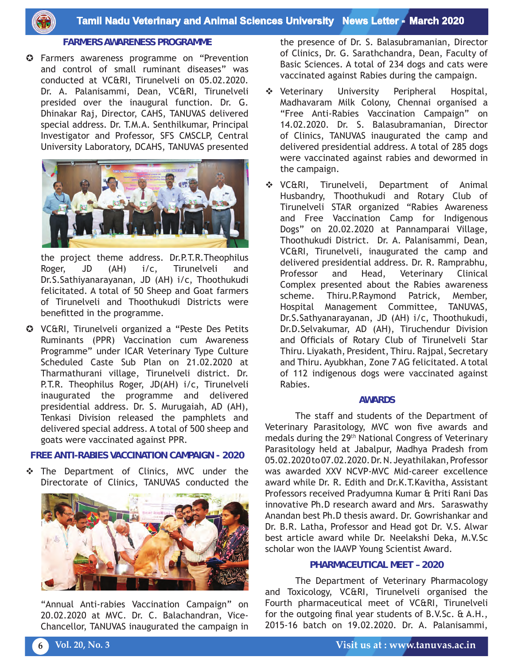

# **FARMERS AWARENESS PROGRAMME**

**C** Farmers awareness programme on "Prevention and control of small ruminant diseases" was conducted at VC&RI, Tirunelveli on 05.02.2020. Dr. A. Palanisammi, Dean, VC&RI, Tirunelveli presided over the inaugural function. Dr. G. Dhinakar Raj, Director, CAHS, TANUVAS delivered special address. Dr. T.M.A. Senthilkumar, Principal Investigator and Professor, SFS CMSCLP, Central University Laboratory, DCAHS, TANUVAS presented



the project theme address. Dr.P.T.R.Theophilus Roger, JD (AH) i/c, Tirunelveli and Dr.S.Sathiyanarayanan, JD (AH) i/c, Thoothukudi felicitated. A total of 50 Sheep and Goat farmers of Tirunelveli and Thoothukudi Districts were benefitted in the programme.

 VC&RI, Tirunelveli organized a "Peste Des Petits Ruminants (PPR) Vaccination cum Awareness Programme" under ICAR Veterinary Type Culture Scheduled Caste Sub Plan on 21.02.2020 at Tharmathurani village, Tirunelveli district. Dr. P.T.R. Theophilus Roger, JD(AH) i/c, Tirunelveli inaugurated the programme and delivered presidential address. Dr. S. Murugaiah, AD (AH), Tenkasi Division released the pamphlets and delivered special address. A total of 500 sheep and goats were vaccinated against PPR.

#### **FREE ANTI-RABIES VACCINATION CAMPAIGN - 2020**

\* The Department of Clinics, MVC under the Directorate of Clinics, TANUVAS conducted the



"Annual Anti-rabies Vaccination Campaign" on 20.02.2020 at MVC. Dr. C. Balachandran, Vice-Chancellor, TANUVAS inaugurated the campaign in

the presence of Dr. S. Balasubramanian, Director of Clinics, Dr. G. Sarathchandra, Dean, Faculty of Basic Sciences. A total of 234 dogs and cats were vaccinated against Rabies during the campaign.

- Veterinary University Peripheral Hospital, Madhavaram Milk Colony, Chennai organised a "Free Anti-Rabies Vaccination Campaign" on 14.02.2020. Dr. S. Balasubramanian, Director of Clinics, TANUVAS inaugurated the camp and delivered presidential address. A total of 285 dogs were vaccinated against rabies and dewormed in the campaign.
- VC&RI, Tirunelveli, Department of Animal Husbandry, Thoothukudi and Rotary Club of Tirunelveli STAR organized "Rabies Awareness and Free Vaccination Camp for Indigenous Dogs" on 20.02.2020 at Pannamparai Village, Thoothukudi District. Dr. A. Palanisammi, Dean, VC&RI, Tirunelveli, inaugurated the camp and delivered presidential address. Dr. R. Ramprabhu, Professor and Head, Veterinary Clinical Complex presented about the Rabies awareness scheme. Thiru.P.Raymond Patrick, Member, Hospital Management Committee, TANUVAS, Dr.S.Sathyanarayanan, JD (AH) i/c, Thoothukudi, Dr.D.Selvakumar, AD (AH), Tiruchendur Division and Officials of Rotary Club of Tirunelveli Star Thiru. Liyakath, President, Thiru. Rajpal, Secretary and Thiru. Ayubkhan, Zone 7 AG felicitated. A total of 112 indigenous dogs were vaccinated against Rabies.

#### **AWARDS**

The staff and students of the Department of Veterinary Parasitology, MVC won five awards and medals during the 29th National Congress of Veterinary Parasitology held at Jabalpur, Madhya Pradesh from 05.02.2020 to 07.02.2020. Dr. N. Jeyathilakan, Professor was awarded XXV NCVP-MVC Mid-career excellence award while Dr. R. Edith and Dr.K.T.Kavitha, Assistant Professors received Pradyumna Kumar & Priti Rani Das innovative Ph.D research award and Mrs. Saraswathy Anandan best Ph.D thesis award. Dr. Gowrishankar and Dr. B.R. Latha, Professor and Head got Dr. V.S. Alwar best article award while Dr. Neelakshi Deka, M.V.Sc scholar won the IAAVP Young Scientist Award.

## **PHARMACEUTICAL MEET – 2020**

The Department of Veterinary Pharmacology and Toxicology, VC&RI, Tirunelveli organised the Fourth pharmaceutical meet of VC&RI, Tirunelveli for the outgoing final year students of B.V.Sc. & A.H., 2015-16 batch on 19.02.2020. Dr. A. Palanisammi,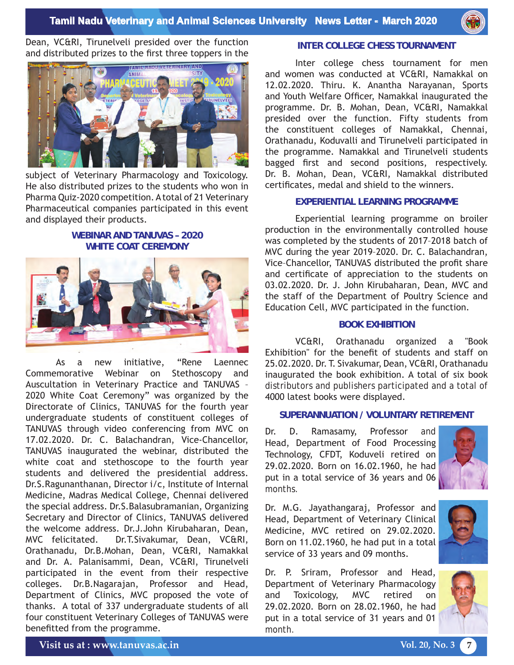

Dean, VC&RI, Tirunelveli presided over the function and distributed prizes to the first three toppers in the



subject of Veterinary Pharmacology and Toxicology. He also distributed prizes to the students who won in Pharma Quiz-2020 competition. A total of 21 Veterinary Pharmaceutical companies participated in this event and displayed their products.

# **WEBINAR AND TANUVAS – 2020 WHITE COAT CEREMONY**



As a new initiative, "Rene Laennec Commemorative Webinar on Stethoscopy and Auscultation in Veterinary Practice and TANUVAS – 2020 White Coat Ceremony" was organized by the Directorate of Clinics, TANUVAS for the fourth year undergraduate students of constituent colleges of TANUVAS through video conferencing from MVC on 17.02.2020. Dr. C. Balachandran, Vice-Chancellor, TANUVAS inaugurated the webinar, distributed the white coat and stethoscope to the fourth year students and delivered the presidential address. Dr.S.Ragunanthanan, Director i/c, Institute of Internal Medicine, Madras Medical College, Chennai delivered the special address. Dr.S.Balasubramanian, Organizing Secretary and Director of Clinics, TANUVAS delivered the welcome address. Dr.J.John Kirubaharan, Dean, MVC felicitated. Dr.T.Sivakumar, Dean, VC&RI, Orathanadu, Dr.B.Mohan, Dean, VC&RI, Namakkal and Dr. A. Palanisammi, Dean, VC&RI, Tirunelveli participated in the event from their respective colleges. Dr.B.Nagarajan, Professor and Head, Department of Clinics, MVC proposed the vote of thanks. A total of 337 undergraduate students of all four constituent Veterinary Colleges of TANUVAS were benefitted from the programme.

#### **INTER COLLEGE CHESS TOURNAMENT**

Inter college chess tournament for men and women was conducted at VC&RI, Namakkal on 12.02.2020. Thiru. K. Anantha Narayanan, Sports and Youth Welfare Officer, Namakkal inaugurated the programme. Dr. B. Mohan, Dean, VC&RI, Namakkal presided over the function. Fifty students from the constituent colleges of Namakkal, Chennai, Orathanadu, Koduvalli and Tirunelveli participated in the programme. Namakkal and Tirunelveli students bagged first and second positions, respectively. Dr. B. Mohan, Dean, VC&RI, Namakkal distributed certificates, medal and shield to the winners.

#### **EXPERIENTIAL LEARNING PROGRAMME**

Experiential learning programme on broiler production in the environmentally controlled house was completed by the students of 2017–2018 batch of MVC during the year 2019–2020. Dr. C. Balachandran, Vice–Chancellor, TANUVAS distributed the profit share and certificate of appreciation to the students on 03.02.2020. Dr. J. John Kirubaharan, Dean, MVC and the staff of the Department of Poultry Science and Education Cell, MVC participated in the function.

## **BOOK EXHIBITION**

VC&RI, Orathanadu organized a "Book Exhibition" for the benefit of students and staff on 25.02.2020. Dr. T. Sivakumar, Dean, VC&RI, Orathanadu inaugurated the book exhibition. A total of six book distributors and publishers participated and a total of 4000 latest books were displayed.

#### **SUPERANNUATION / VOLUNTARY RETIREMENT**

Dr. D. Ramasamy, Professor and Head, Department of Food Processing Technology, CFDT, Koduveli retired on 29.02.2020. Born on 16.02.1960, he had put in a total service of 36 years and 06 months.



Dr. M.G. Jayathangaraj, Professor and Head, Department of Veterinary Clinical Medicine, MVC retired on 29.02.2020. Born on 11.02.1960, he had put in a total service of 33 years and 09 months.

Dr. P. Sriram, Professor and Head, Department of Veterinary Pharmacology and Toxicology, MVC retired on 29.02.2020. Born on 28.02.1960, he had put in a total service of 31 years and 01 month.